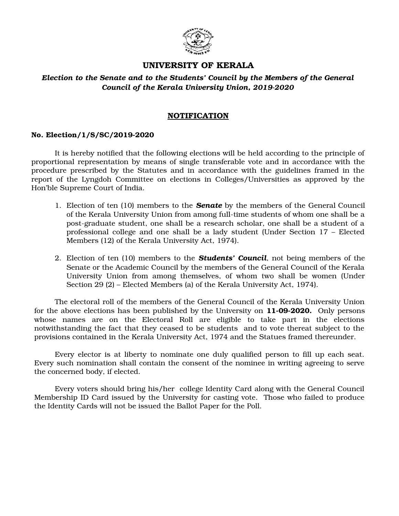

## **UNIVERSITY OF KERALA**

### *Election to the Senate and to the Students' Council by the Members of the General* Council of the Kerala University Union, 2019-2020

#### **NOTIFICATION**

#### **No. Election/1/S/SC/20192020**

It is hereby notified that the following elections will be held according to the principle of proportional representation by means of single transferable vote and in accordance with the procedure prescribed by the Statutes and in accordance with the guidelines framed in the report of the Lyngdoh Committee on elections in Colleges/Universities as approved by the Hon'ble Supreme Court of India.

- 1. Election of ten (10) members to the *Senate* by the members of the General Council of the Kerala University Union from among full-time students of whom one shall be a post-graduate student, one shall be a research scholar, one shall be a student of a professional college and one shall be a lady student (Under Section 17 – Elected Members (12) of the Kerala University Act, 1974).
- 2. Election of ten (10) members to the *Students' Council*, not being members of the Senate or the Academic Council by the members of the General Council of the Kerala University Union from among themselves, of whom two shall be women (Under Section 29 (2) – Elected Members (a) of the Kerala University Act, 1974).

The electoral roll of the members of the General Council of the Kerala University Union for the above elections has been published by the University on **11-09-2020.** Only persons whose names are on the Electoral Roll are eligible to take part in the elections notwithstanding the fact that they ceased to be students and to vote thereat subject to the provisions contained in the Kerala University Act, 1974 and the Statues framed thereunder.

Every elector is at liberty to nominate one duly qualified person to fill up each seat. Every such nomination shall contain the consent of the nominee in writing agreeing to serve the concerned body, if elected.

Every voters should bring his/her college Identity Card along with the General Council Membership ID Card issued by the University for casting vote. Those who failed to produce the Identity Cards will not be issued the Ballot Paper for the Poll.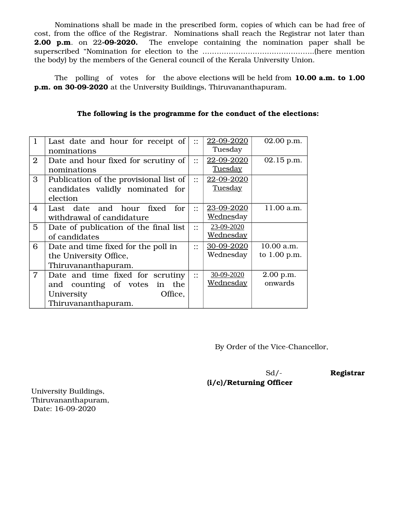Nominations shall be made in the prescribed form, copies of which can be had free of cost, from the office of the Registrar. Nominations shall reach the Registrar not later than **2.00 p.m.** on 22-09-2020. The envelope containing the nomination paper shall be superscribed "Nomination for election to the ………………………………………..(here mention the body) by the members of the General council of the Kerala University Union.

The polling of votes for the above elections will be held from **10.00 a.m. to 1.00 p.m. on 30-09-2020** at the University Buildings, Thiruvananthapuram.

| $\mathbf{1}$   | Last date and hour for receipt of      | $\dddot{\phantom{0}}$ :                     | 22-09-2020        | 02.00 p.m.   |
|----------------|----------------------------------------|---------------------------------------------|-------------------|--------------|
|                | nominations                            |                                             | Tuesday           |              |
| $\overline{2}$ | Date and hour fixed for scrutiny of    | $\vdots$                                    | 22-09-2020        | 02.15 p.m.   |
|                | nominations                            |                                             | <b>Tuesday</b>    |              |
| 3              | Publication of the provisional list of | $\vdots$                                    | 22-09-2020        |              |
|                | candidates validly nominated for       |                                             | <b>Tuesday</b>    |              |
|                | election                               |                                             |                   |              |
| $\overline{4}$ | Last date and hour fixed for           | $\dddot{\cdot}$                             | 23-09-2020        | 11.00 a.m.   |
|                | withdrawal of candidature              |                                             | <u>Wednes</u> day |              |
| $\overline{5}$ | Date of publication of the final list  | $\bullet$ $\bullet$<br>$\ddot{\phantom{a}}$ | 23-09-2020        |              |
|                | of candidates                          |                                             | Wednesday         |              |
| 6              | Date and time fixed for the poll in    | $\bullet$ .                                 | 30-09-2020        | 10.00 a.m.   |
|                | the University Office,                 |                                             | Wednesday         | to 1.00 p.m. |
|                | Thiruvananthapuram.                    |                                             |                   |              |
| $\overline{7}$ | Date and time fixed for scrutiny       | $\bullet\; \bullet$<br>$\ddot{\phantom{a}}$ | 30-09-2020        | 2.00 p.m.    |
|                | and counting of votes<br>in the        |                                             | <u>Wednesday</u>  | onwards      |
|                | Office,<br>University                  |                                             |                   |              |
|                | Thiruvananthapuram.                    |                                             |                   |              |

**The following is the programme for the conduct of the elections:**

By Order of the Vice-Chancellor,

**(i/c)/Returning Officer** 

Sd/-<br>Registrar

University Buildings, Thiruvananthapuram, Date: 16-09-2020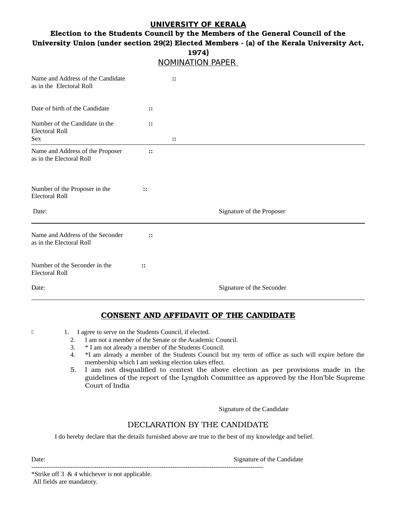#### **UNIVERSITY OF KERALA**

## **Election to the Students Council by the Members of the General Council of the University Union (under section 29(2) Elected Members (a) of the Kerala University Act,**

| 1974)<br><b>NOMINATION PAPER</b>                                      |               |                           |  |  |  |
|-----------------------------------------------------------------------|---------------|---------------------------|--|--|--|
| Name and Address of the Candidate<br>as in the Electoral Roll         |               | $\vdots$                  |  |  |  |
| Date of birth of the Candidate                                        | $\vdots$      |                           |  |  |  |
| Number of the Candidate in the<br><b>Electoral Roll</b><br><b>Sex</b> | $\vdots$      | $\vdots$                  |  |  |  |
| Name and Address of the Proposer<br>as in the Electoral Roll          | $\vdots$      |                           |  |  |  |
| Number of the Proposer in the<br><b>Electoral Roll</b>                | $\vdots$      |                           |  |  |  |
| Date:                                                                 |               | Signature of the Proposer |  |  |  |
| Name and Address of the Seconder<br>as in the Electoral Roll          | $\mathbf{::}$ |                           |  |  |  |
| Number of the Seconder in the<br><b>Electoral Roll</b>                | $\vdots$      |                           |  |  |  |
| Date:                                                                 |               | Signature of the Seconder |  |  |  |

#### **CONSENT AND AFFIDAVIT OF THE CANDIDATE**

- 
- 1 1. I agree to serve on the Students Council, if elected.
	- 2. I am not a member of the Senate or the Academic Council.
	- 3. \* I am not already a member of the Students Council.

-----------------------------------------------------------------------------------------------------------

- 4. \*I am already a member of the Students Council but my term of office as such will expire before the membership which I am seeking election takes effect.
- 5. I am not disqualified to contest the above election as per provisions made in the guidelines of the report of the Lyngdoh Committee as approved by the Hon'ble Supreme Court of India

Signature of the Candidate

#### DECLARATION BY THE CANDIDATE

I do hereby declare that the details furnished above are true to the best of my knowledge and belief.

Date: Signature of the Candidate  $\sim$  Signature of the Candidate  $\sim$ 

\*Strike off 3 & 4 whichever is not applicable. All fields are mandatory.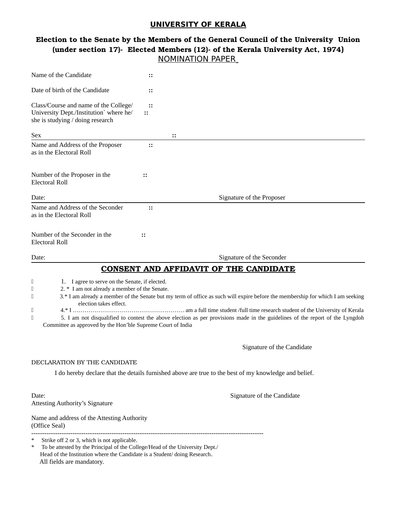#### **UNIVERSITY OF KERALA**

## **Election to the Senate by the Members of the General Council of the University Union** (under section 17)- Elected Members (12)- of the Kerala University Act, 1974) NOMINATION PAPER

| Name of the Candidate                                                                                                                                                                                                                               | ።                    |                                                                                                                                                                                                                                                                |
|-----------------------------------------------------------------------------------------------------------------------------------------------------------------------------------------------------------------------------------------------------|----------------------|----------------------------------------------------------------------------------------------------------------------------------------------------------------------------------------------------------------------------------------------------------------|
| Date of birth of the Candidate                                                                                                                                                                                                                      | $\ddots$             |                                                                                                                                                                                                                                                                |
| Class/Course and name of the College/<br>University Dept./Institution` where he/<br>she is studying / doing research                                                                                                                                | $\vdots$<br>$\vdots$ |                                                                                                                                                                                                                                                                |
| Sex                                                                                                                                                                                                                                                 |                      | $\ddots$                                                                                                                                                                                                                                                       |
| Name and Address of the Proposer<br>as in the Electoral Roll                                                                                                                                                                                        | $\vdots$             |                                                                                                                                                                                                                                                                |
| Number of the Proposer in the<br><b>Electoral Roll</b>                                                                                                                                                                                              | $\vdots$             |                                                                                                                                                                                                                                                                |
| Date:                                                                                                                                                                                                                                               |                      | Signature of the Proposer                                                                                                                                                                                                                                      |
| Name and Address of the Seconder<br>as in the Electoral Roll                                                                                                                                                                                        | $\vdots$             |                                                                                                                                                                                                                                                                |
| Number of the Seconder in the<br><b>Electoral Roll</b>                                                                                                                                                                                              | $\vdots$             |                                                                                                                                                                                                                                                                |
| Date:                                                                                                                                                                                                                                               |                      | Signature of the Seconder                                                                                                                                                                                                                                      |
|                                                                                                                                                                                                                                                     |                      | <b>CONSENT AND AFFIDAVIT OF THE CANDIDATE</b>                                                                                                                                                                                                                  |
| О<br>1. I agree to serve on the Senate, if elected.<br>2. * I am not already a member of the Senate.<br>$\Box$<br>O<br>election takes effect.<br>O<br>O<br>Committee as approved by the Hon'ble Supreme Court of India                              |                      | 3.* I am already a member of the Senate but my term of office as such will expire before the membership for which I am seeking<br>5. I am not disqualified to contest the above election as per provisions made in the guidelines of the report of the Lyngdoh |
|                                                                                                                                                                                                                                                     |                      | Signature of the Candidate                                                                                                                                                                                                                                     |
| DECLARATION BY THE CANDIDATE                                                                                                                                                                                                                        |                      |                                                                                                                                                                                                                                                                |
|                                                                                                                                                                                                                                                     |                      | I do hereby declare that the details furnished above are true to the best of my knowledge and belief.                                                                                                                                                          |
| Date:<br><b>Attesting Authority's Signature</b>                                                                                                                                                                                                     |                      | Signature of the Candidate                                                                                                                                                                                                                                     |
| Name and address of the Attesting Authority<br>(Office Seal)                                                                                                                                                                                        |                      |                                                                                                                                                                                                                                                                |
| Strike off 2 or 3, which is not applicable.<br>$\ast$<br>To be attested by the Principal of the College/Head of the University Dept./<br>*<br>Head of the Institution where the Candidate is a Student/doing Research.<br>All fields are mandatory. |                      |                                                                                                                                                                                                                                                                |